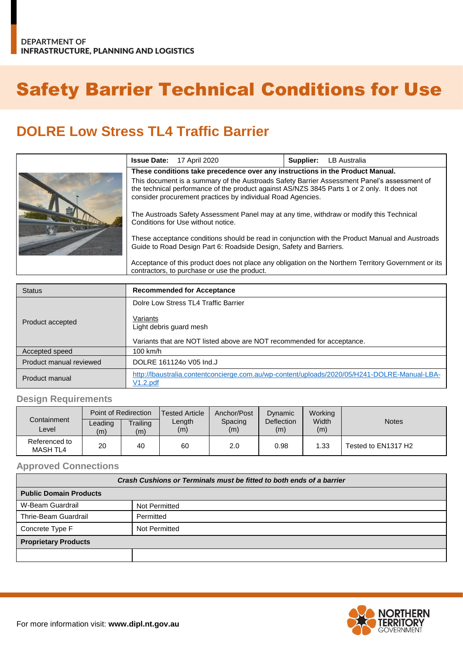# Safety Barrier Technical Conditions for Use

## **DOLRE Low Stress TL4 Traffic Barrier**

|  |                                                                                                                                                                                                                                                           | <b>Issue Date:</b> 17 April 2020 | Supplier: | <b>LB Australia</b> |
|--|-----------------------------------------------------------------------------------------------------------------------------------------------------------------------------------------------------------------------------------------------------------|----------------------------------|-----------|---------------------|
|  | These conditions take precedence over any instructions in the Product Manual.                                                                                                                                                                             |                                  |           |                     |
|  | This document is a summary of the Austroads Safety Barrier Assessment Panel's assessment of<br>the technical performance of the product against AS/NZS 3845 Parts 1 or 2 only. It does not<br>consider procurement practices by individual Road Agencies. |                                  |           |                     |
|  | The Austroads Safety Assessment Panel may at any time, withdraw or modify this Technical<br>Conditions for Use without notice.                                                                                                                            |                                  |           |                     |
|  | These acceptance conditions should be read in conjunction with the Product Manual and Austroads<br>Guide to Road Design Part 6: Roadside Design, Safety and Barriers.                                                                                     |                                  |           |                     |
|  | Acceptance of this product does not place any obligation on the Northern Territory Government or its<br>contractors, to purchase or use the product.                                                                                                      |                                  |           |                     |

| <b>Status</b>           | <b>Recommended for Acceptance</b>                                                                        |  |  |
|-------------------------|----------------------------------------------------------------------------------------------------------|--|--|
|                         | Dolre Low Stress TL4 Traffic Barrier                                                                     |  |  |
| Product accepted        | Variants<br>Light debris guard mesh                                                                      |  |  |
|                         | Variants that are NOT listed above are NOT recommended for acceptance.                                   |  |  |
| Accepted speed          | 100 km/h                                                                                                 |  |  |
| Product manual reviewed | DOLRE 1611240 V05 Ind.J                                                                                  |  |  |
| Product manual          | http://lbaustralia.contentconcierge.com.au/wp-content/uploads/2020/05/H241-DOLRE-Manual-LBA-<br>V1.2.pdf |  |  |

#### **Design Requirements**

| Containment                      | Point of Redirection |                 | <b>Tested Article</b> | Anchor/Post    | Dynamic           | Working      |                     |
|----------------------------------|----------------------|-----------------|-----------------------|----------------|-------------------|--------------|---------------------|
| ∟evel                            | Leading<br>(m)       | Trailing<br>(m) | Length<br>(m)         | Spacing<br>(m) | Deflection<br>(m) | Width<br>(m) | <b>Notes</b>        |
| Referenced to<br><b>MASH TL4</b> | 20                   | 40              | 60                    | 2.0            | 0.98              | 1.33         | Tested to EN1317 H2 |

#### **Approved Connections**

| Crash Cushions or Terminals must be fitted to both ends of a barrier |                      |  |  |  |
|----------------------------------------------------------------------|----------------------|--|--|--|
| <b>Public Domain Products</b>                                        |                      |  |  |  |
| W-Beam Guardrail                                                     | <b>Not Permitted</b> |  |  |  |
| Thrie-Beam Guardrail                                                 | Permitted            |  |  |  |
| Concrete Type F                                                      | Not Permitted        |  |  |  |
| <b>Proprietary Products</b>                                          |                      |  |  |  |
|                                                                      |                      |  |  |  |